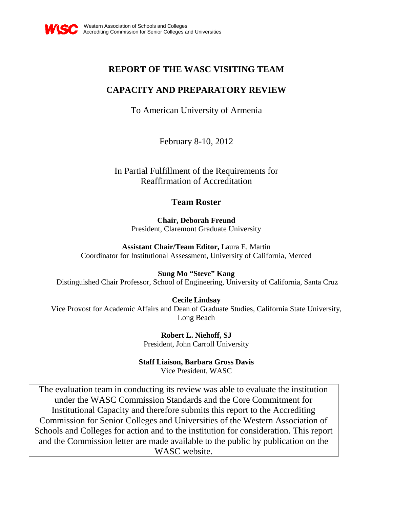

# **REPORT OF THE WASC VISITING TEAM**

# **CAPACITY AND PREPARATORY REVIEW**

To American University of Armenia

February 8-10, 2012

In Partial Fulfillment of the Requirements for Reaffirmation of Accreditation

# **Team Roster**

**Chair, Deborah Freund** President, Claremont Graduate University

**Assistant Chair/Team Editor,** Laura E. Martin Coordinator for Institutional Assessment, University of California, Merced

**Sung Mo "Steve" Kang**

Distinguished Chair Professor, School of Engineering, University of California, Santa Cruz

**Cecile Lindsay**

Vice Provost for Academic Affairs and Dean of Graduate Studies, California State University, Long Beach

> **Robert L. Niehoff, SJ** President, John Carroll University

**Staff Liaison, Barbara Gross Davis** 

Vice President, WASC

The evaluation team in conducting its review was able to evaluate the institution under the WASC Commission Standards and the Core Commitment for Institutional Capacity and therefore submits this report to the Accrediting Commission for Senior Colleges and Universities of the Western Association of Schools and Colleges for action and to the institution for consideration. This report and the Commission letter are made available to the public by publication on the WASC website.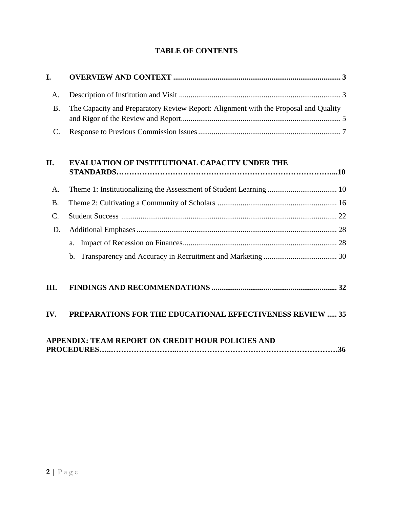## **TABLE OF CONTENTS**

| I.            |                                                                                     |  |
|---------------|-------------------------------------------------------------------------------------|--|
| A.            |                                                                                     |  |
| <b>B.</b>     | The Capacity and Preparatory Review Report: Alignment with the Proposal and Quality |  |
| C.            |                                                                                     |  |
|               |                                                                                     |  |
| II.           | <b>EVALUATION OF INSTITUTIONAL CAPACITY UNDER THE</b>                               |  |
| A.            |                                                                                     |  |
| <b>B.</b>     |                                                                                     |  |
| $\mathcal{C}$ |                                                                                     |  |
| D.            |                                                                                     |  |

|--|--|--|

# **III. [FINDINGS AND RECOMMENDATIONS](#page-31-0) ................................................................. 32**

# **IV. [PREPARATIONS FOR THE EDUCATIONAL EFFECTIVENESS REVIEW](#page-34-0) ..... 35**

# **APPENDIX: TEAM REPORT ON CREDIT HOUR POLICIES AND PROCEDURES…..……………………..………………………………………………………36**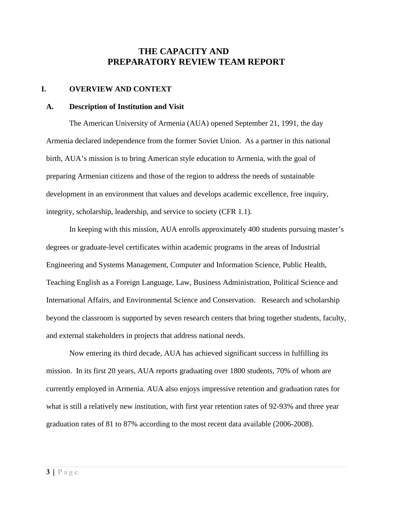## **THE CAPACITY AND PREPARATORY REVIEW TEAM REPORT**

## <span id="page-2-0"></span>**I. OVERVIEW AND CONTEXT**

#### <span id="page-2-1"></span>**A. Description of Institution and Visit**

The American University of Armenia (AUA) opened September 21, 1991, the day Armenia declared independence from the former Soviet Union. As a partner in this national birth, AUA's mission is to bring American style education to Armenia, with the goal of preparing Armenian citizens and those of the region to address the needs of sustainable development in an environment that values and develops academic excellence, free inquiry, integrity, scholarship, leadership, and service to society (CFR 1.1).

In keeping with this mission, AUA enrolls approximately 400 students pursuing master's degrees or graduate-level certificates within academic programs in the areas of Industrial Engineering and Systems Management, Computer and Information Science, Public Health, Teaching English as a Foreign Language, Law, Business Administration, Political Science and International Affairs, and Environmental Science and Conservation. Research and scholarship beyond the classroom is supported by seven research centers that bring together students, faculty, and external stakeholders in projects that address national needs.

Now entering its third decade, AUA has achieved significant success in fulfilling its mission. In its first 20 years, AUA reports graduating over 1800 students, 70% of whom are currently employed in Armenia. AUA also enjoys impressive retention and graduation rates for what is still a relatively new institution, with first year retention rates of 92-93% and three year graduation rates of 81 to 87% according to the most recent data available (2006-2008).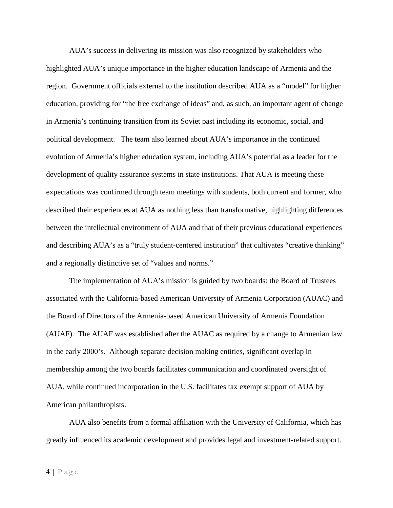AUA's success in delivering its mission was also recognized by stakeholders who highlighted AUA's unique importance in the higher education landscape of Armenia and the region. Government officials external to the institution described AUA as a "model" for higher education, providing for "the free exchange of ideas" and, as such, an important agent of change in Armenia's continuing transition from its Soviet past including its economic, social, and political development. The team also learned about AUA's importance in the continued evolution of Armenia's higher education system, including AUA's potential as a leader for the development of quality assurance systems in state institutions. That AUA is meeting these expectations was confirmed through team meetings with students, both current and former, who described their experiences at AUA as nothing less than transformative, highlighting differences between the intellectual environment of AUA and that of their previous educational experiences and describing AUA's as a "truly student-centered institution" that cultivates "creative thinking" and a regionally distinctive set of "values and norms."

The implementation of AUA's mission is guided by two boards: the Board of Trustees associated with the California-based American University of Armenia Corporation (AUAC) and the Board of Directors of the Armenia-based American University of Armenia Foundation (AUAF). The AUAF was established after the AUAC as required by a change to Armenian law in the early 2000's. Although separate decision making entities, significant overlap in membership among the two boards facilitates communication and coordinated oversight of AUA, while continued incorporation in the U.S. facilitates tax exempt support of AUA by American philanthropists.

AUA also benefits from a formal affiliation with the University of California, which has greatly influenced its academic development and provides legal and investment-related support.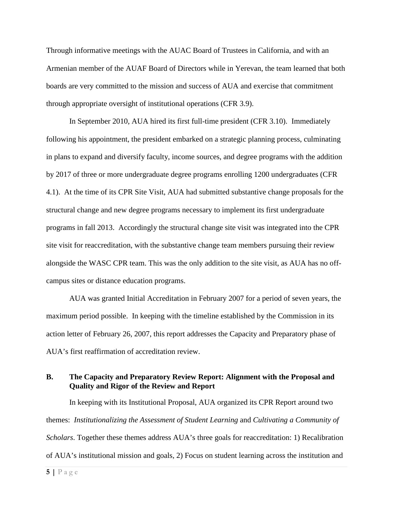Through informative meetings with the AUAC Board of Trustees in California, and with an Armenian member of the AUAF Board of Directors while in Yerevan, the team learned that both boards are very committed to the mission and success of AUA and exercise that commitment through appropriate oversight of institutional operations (CFR 3.9).

In September 2010, AUA hired its first full-time president (CFR 3.10). Immediately following his appointment, the president embarked on a strategic planning process, culminating in plans to expand and diversify faculty, income sources, and degree programs with the addition by 2017 of three or more undergraduate degree programs enrolling 1200 undergraduates (CFR 4.1). At the time of its CPR Site Visit, AUA had submitted substantive change proposals for the structural change and new degree programs necessary to implement its first undergraduate programs in fall 2013. Accordingly the structural change site visit was integrated into the CPR site visit for reaccreditation, with the substantive change team members pursuing their review alongside the WASC CPR team. This was the only addition to the site visit, as AUA has no offcampus sites or distance education programs.

AUA was granted Initial Accreditation in February 2007 for a period of seven years, the maximum period possible. In keeping with the timeline established by the Commission in its action letter of February 26, 2007, this report addresses the Capacity and Preparatory phase of AUA's first reaffirmation of accreditation review.

## <span id="page-4-0"></span>**B. The Capacity and Preparatory Review Report: Alignment with the Proposal and Quality and Rigor of the Review and Report**

In keeping with its Institutional Proposal, AUA organized its CPR Report around two themes: *Institutionalizing the Assessment of Student Learning* and *Cultivating a Community of Scholars*. Together these themes address AUA's three goals for reaccreditation: 1) Recalibration of AUA's institutional mission and goals*,* 2) Focus on student learning across the institution and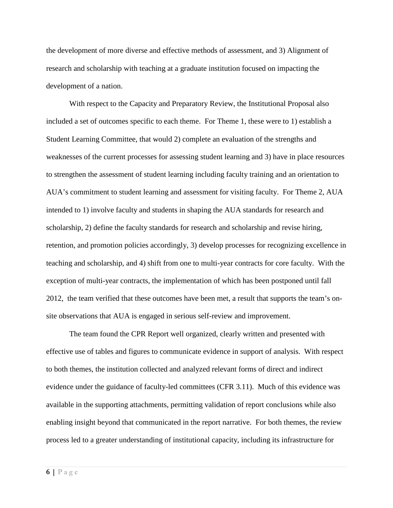the development of more diverse and effective methods of assessment, and 3) Alignment of research and scholarship with teaching at a graduate institution focused on impacting the development of a nation.

With respect to the Capacity and Preparatory Review, the Institutional Proposal also included a set of outcomes specific to each theme. For Theme 1, these were to 1) establish a Student Learning Committee, that would 2) complete an evaluation of the strengths and weaknesses of the current processes for assessing student learning and 3) have in place resources to strengthen the assessment of student learning including faculty training and an orientation to AUA's commitment to student learning and assessment for visiting faculty. For Theme 2, AUA intended to 1) involve faculty and students in shaping the AUA standards for research and scholarship, 2) define the faculty standards for research and scholarship and revise hiring, retention, and promotion policies accordingly, 3) develop processes for recognizing excellence in teaching and scholarship, and 4) shift from one to multi-year contracts for core faculty. With the exception of multi-year contracts, the implementation of which has been postponed until fall 2012, the team verified that these outcomes have been met, a result that supports the team's onsite observations that AUA is engaged in serious self-review and improvement.

The team found the CPR Report well organized, clearly written and presented with effective use of tables and figures to communicate evidence in support of analysis. With respect to both themes, the institution collected and analyzed relevant forms of direct and indirect evidence under the guidance of faculty-led committees (CFR 3.11). Much of this evidence was available in the supporting attachments, permitting validation of report conclusions while also enabling insight beyond that communicated in the report narrative. For both themes, the review process led to a greater understanding of institutional capacity, including its infrastructure for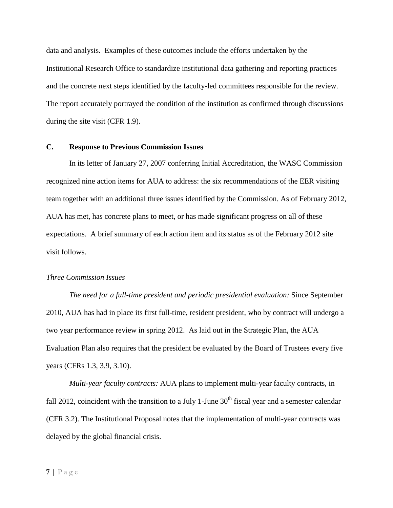data and analysis. Examples of these outcomes include the efforts undertaken by the Institutional Research Office to standardize institutional data gathering and reporting practices and the concrete next steps identified by the faculty-led committees responsible for the review. The report accurately portrayed the condition of the institution as confirmed through discussions during the site visit (CFR 1.9).

### <span id="page-6-0"></span>**C. Response to Previous Commission Issues**

In its letter of January 27, 2007 conferring Initial Accreditation, the WASC Commission recognized nine action items for AUA to address: the six recommendations of the EER visiting team together with an additional three issues identified by the Commission. As of February 2012, AUA has met, has concrete plans to meet, or has made significant progress on all of these expectations. A brief summary of each action item and its status as of the February 2012 site visit follows.

#### *Three Commission Issues*

*The need for a full-time president and periodic presidential evaluation:* Since September 2010, AUA has had in place its first full-time, resident president, who by contract will undergo a two year performance review in spring 2012. As laid out in the Strategic Plan, the AUA Evaluation Plan also requires that the president be evaluated by the Board of Trustees every five years (CFRs 1.3, 3.9, 3.10).

*Multi-year faculty contracts:* AUA plans to implement multi-year faculty contracts, in fall 2012, coincident with the transition to a July 1-June  $30<sup>th</sup>$  fiscal year and a semester calendar (CFR 3.2). The Institutional Proposal notes that the implementation of multi-year contracts was delayed by the global financial crisis.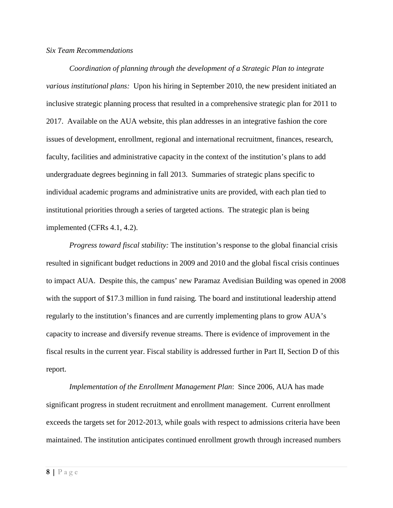### *Six Team Recommendations*

*Coordination of planning through the development of a Strategic Plan to integrate various institutional plans:* Upon his hiring in September 2010, the new president initiated an inclusive strategic planning process that resulted in a comprehensive strategic plan for 2011 to 2017. Available on the AUA website, this plan addresses in an integrative fashion the core issues of development, enrollment, regional and international recruitment, finances, research, faculty, facilities and administrative capacity in the context of the institution's plans to add undergraduate degrees beginning in fall 2013. Summaries of strategic plans specific to individual academic programs and administrative units are provided, with each plan tied to institutional priorities through a series of targeted actions. The strategic plan is being implemented (CFRs 4.1, 4.2).

*Progress toward fiscal stability:* The institution's response to the global financial crisis resulted in significant budget reductions in 2009 and 2010 and the global fiscal crisis continues to impact AUA. Despite this, the campus' new Paramaz Avedisian Building was opened in 2008 with the support of \$17.3 million in fund raising*.* The board and institutional leadership attend regularly to the institution's finances and are currently implementing plans to grow AUA's capacity to increase and diversify revenue streams. There is evidence of improvement in the fiscal results in the current year. Fiscal stability is addressed further in Part II, Section D of this report.

*Implementation of the Enrollment Management Plan*: Since 2006, AUA has made significant progress in student recruitment and enrollment management. Current enrollment exceeds the targets set for 2012-2013, while goals with respect to admissions criteria have been maintained. The institution anticipates continued enrollment growth through increased numbers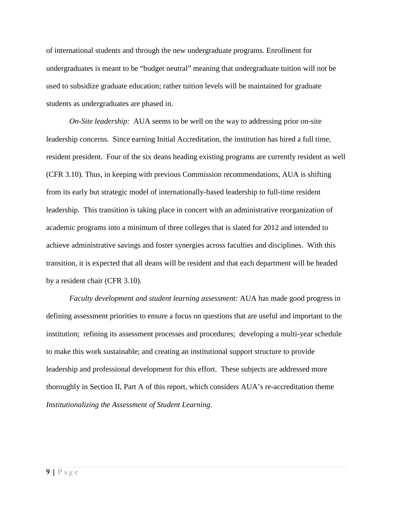of international students and through the new undergraduate programs. Enrollment for undergraduates is meant to be "budget neutral" meaning that undergraduate tuition will not be used to subsidize graduate education; rather tuition levels will be maintained for graduate students as undergraduates are phased in.

*On-Site leadership:* AUA seems to be well on the way to addressing prior on-site leadership concerns. Since earning Initial Accreditation, the institution has hired a full time, resident president. Four of the six deans heading existing programs are currently resident as well (CFR 3.10). Thus, in keeping with previous Commission recommendations, AUA is shifting from its early but strategic model of internationally-based leadership to full-time resident leadership. This transition is taking place in concert with an administrative reorganization of academic programs into a minimum of three colleges that is slated for 2012 and intended to achieve administrative savings and foster synergies across faculties and disciplines. With this transition, it is expected that all deans will be resident and that each department will be headed by a resident chair (CFR 3.10).

*Faculty development and student learning assessment:* AUA has made good progress in defining assessment priorities to ensure a focus on questions that are useful and important to the institution; refining its assessment processes and procedures; developing a multi-year schedule to make this work sustainable; and creating an institutional support structure to provide leadership and professional development for this effort. These subjects are addressed more thoroughly in Section II, Part A of this report, which considers AUA's re-accreditation theme *Institutionalizing the Assessment of Student Learning.*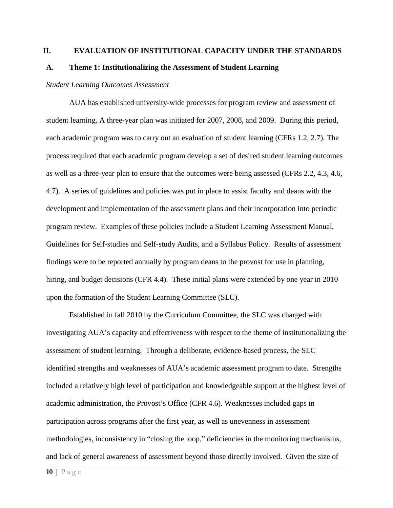### <span id="page-9-0"></span>**II. EVALUATION OF INSTITUTIONAL CAPACITY UNDER THE STANDARDS**

#### <span id="page-9-1"></span>**A. Theme 1: Institutionalizing the Assessment of Student Learning**

#### *Student Learning Outcomes Assessment*

AUA has established university-wide processes for program review and assessment of student learning. A three-year plan was initiated for 2007, 2008, and 2009. During this period, each academic program was to carry out an evaluation of student learning (CFRs 1.2, 2.7). The process required that each academic program develop a set of desired student learning outcomes as well as a three-year plan to ensure that the outcomes were being assessed (CFRs 2.2, 4.3, 4.6, 4.7). A series of guidelines and policies was put in place to assist faculty and deans with the development and implementation of the assessment plans and their incorporation into periodic program review. Examples of these policies include a Student Learning Assessment Manual, Guidelines for Self-studies and Self-study Audits, and a Syllabus Policy. Results of assessment findings were to be reported annually by program deans to the provost for use in planning, hiring, and budget decisions (CFR 4.4). These initial plans were extended by one year in 2010 upon the formation of the Student Learning Committee (SLC).

Established in fall 2010 by the Curriculum Committee, the SLC was charged with investigating AUA's capacity and effectiveness with respect to the theme of institutionalizing the assessment of student learning. Through a deliberate, evidence-based process, the SLC identified strengths and weaknesses of AUA's academic assessment program to date. Strengths included a relatively high level of participation and knowledgeable support at the highest level of academic administration, the Provost's Office (CFR 4.6). Weaknesses included gaps in participation across programs after the first year, as well as unevenness in assessment methodologies, inconsistency in "closing the loop," deficiencies in the monitoring mechanisms, and lack of general awareness of assessment beyond those directly involved. Given the size of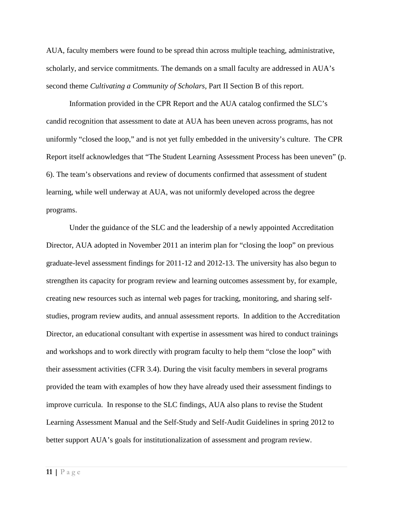AUA, faculty members were found to be spread thin across multiple teaching, administrative, scholarly, and service commitments. The demands on a small faculty are addressed in AUA's second theme *Cultivating a Community of Scholars,* Part II Section B of this report.

Information provided in the CPR Report and the AUA catalog confirmed the SLC's candid recognition that assessment to date at AUA has been uneven across programs, has not uniformly "closed the loop," and is not yet fully embedded in the university's culture. The CPR Report itself acknowledges that "The Student Learning Assessment Process has been uneven" (p. 6). The team's observations and review of documents confirmed that assessment of student learning, while well underway at AUA, was not uniformly developed across the degree programs.

Under the guidance of the SLC and the leadership of a newly appointed Accreditation Director, AUA adopted in November 2011 an interim plan for "closing the loop" on previous graduate-level assessment findings for 2011-12 and 2012-13. The university has also begun to strengthen its capacity for program review and learning outcomes assessment by, for example, creating new resources such as internal web pages for tracking, monitoring, and sharing selfstudies, program review audits, and annual assessment reports. In addition to the Accreditation Director, an educational consultant with expertise in assessment was hired to conduct trainings and workshops and to work directly with program faculty to help them "close the loop" with their assessment activities (CFR 3.4). During the visit faculty members in several programs provided the team with examples of how they have already used their assessment findings to improve curricula. In response to the SLC findings, AUA also plans to revise the Student Learning Assessment Manual and the Self-Study and Self-Audit Guidelines in spring 2012 to better support AUA's goals for institutionalization of assessment and program review.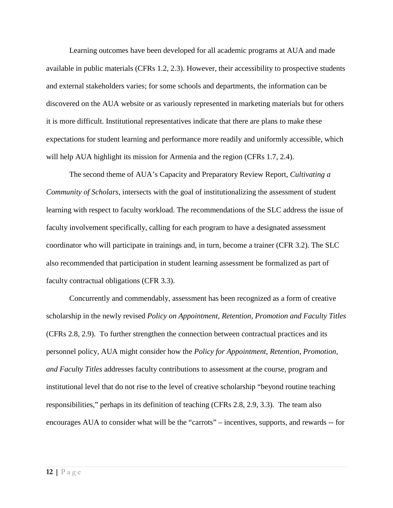Learning outcomes have been developed for all academic programs at AUA and made available in public materials (CFRs 1.2, 2.3). However, their accessibility to prospective students and external stakeholders varies; for some schools and departments, the information can be discovered on the AUA website or as variously represented in marketing materials but for others it is more difficult. Institutional representatives indicate that there are plans to make these expectations for student learning and performance more readily and uniformly accessible, which will help AUA highlight its mission for Armenia and the region (CFRs 1.7, 2.4).

The second theme of AUA's Capacity and Preparatory Review Report, *Cultivating a Community of Scholars*, intersects with the goal of institutionalizing the assessment of student learning with respect to faculty workload. The recommendations of the SLC address the issue of faculty involvement specifically, calling for each program to have a designated assessment coordinator who will participate in trainings and, in turn, become a trainer (CFR 3.2). The SLC also recommended that participation in student learning assessment be formalized as part of faculty contractual obligations (CFR 3.3).

Concurrently and commendably, assessment has been recognized as a form of creative scholarship in the newly revised *Policy on Appointment, Retention, Promotion and Faculty Titles* (CFRs 2.8, 2.9). To further strengthen the connection between contractual practices and its personnel policy, AUA might consider how the *Policy for Appointment, Retention, Promotion, and Faculty Titles* addresses faculty contributions to assessment at the course, program and institutional level that do not rise to the level of creative scholarship "beyond routine teaching responsibilities," perhaps in its definition of teaching (CFRs 2.8, 2.9, 3.3). The team also encourages AUA to consider what will be the "carrots" – incentives, supports, and rewards -- for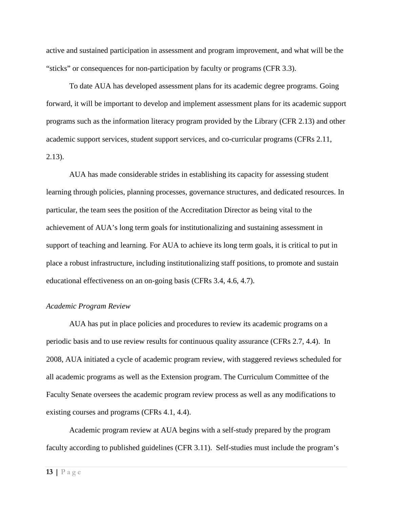active and sustained participation in assessment and program improvement, and what will be the "sticks" or consequences for non-participation by faculty or programs (CFR 3.3).

To date AUA has developed assessment plans for its academic degree programs. Going forward, it will be important to develop and implement assessment plans for its academic support programs such as the information literacy program provided by the Library (CFR 2.13) and other academic support services, student support services, and co-curricular programs (CFRs 2.11, 2.13).

AUA has made considerable strides in establishing its capacity for assessing student learning through policies, planning processes, governance structures, and dedicated resources. In particular, the team sees the position of the Accreditation Director as being vital to the achievement of AUA's long term goals for institutionalizing and sustaining assessment in support of teaching and learning. For AUA to achieve its long term goals, it is critical to put in place a robust infrastructure, including institutionalizing staff positions, to promote and sustain educational effectiveness on an on-going basis (CFRs 3.4, 4.6, 4.7).

#### *Academic Program Review*

AUA has put in place policies and procedures to review its academic programs on a periodic basis and to use review results for continuous quality assurance (CFRs 2.7, 4.4). In 2008, AUA initiated a cycle of academic program review, with staggered reviews scheduled for all academic programs as well as the Extension program. The Curriculum Committee of the Faculty Senate oversees the academic program review process as well as any modifications to existing courses and programs (CFRs 4.1, 4.4).

Academic program review at AUA begins with a self-study prepared by the program faculty according to published guidelines (CFR 3.11). Self-studies must include the program's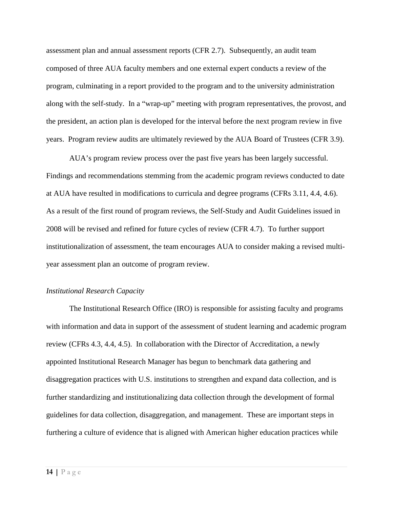assessment plan and annual assessment reports (CFR 2.7). Subsequently, an audit team composed of three AUA faculty members and one external expert conducts a review of the program, culminating in a report provided to the program and to the university administration along with the self-study. In a "wrap-up" meeting with program representatives, the provost, and the president, an action plan is developed for the interval before the next program review in five years. Program review audits are ultimately reviewed by the AUA Board of Trustees (CFR 3.9).

AUA's program review process over the past five years has been largely successful. Findings and recommendations stemming from the academic program reviews conducted to date at AUA have resulted in modifications to curricula and degree programs (CFRs 3.11, 4.4, 4.6). As a result of the first round of program reviews, the Self-Study and Audit Guidelines issued in 2008 will be revised and refined for future cycles of review (CFR 4.7). To further support institutionalization of assessment, the team encourages AUA to consider making a revised multiyear assessment plan an outcome of program review.

#### *Institutional Research Capacity*

The Institutional Research Office (IRO) is responsible for assisting faculty and programs with information and data in support of the assessment of student learning and academic program review (CFRs 4.3, 4.4, 4.5). In collaboration with the Director of Accreditation, a newly appointed Institutional Research Manager has begun to benchmark data gathering and disaggregation practices with U.S. institutions to strengthen and expand data collection, and is further standardizing and institutionalizing data collection through the development of formal guidelines for data collection, disaggregation, and management. These are important steps in furthering a culture of evidence that is aligned with American higher education practices while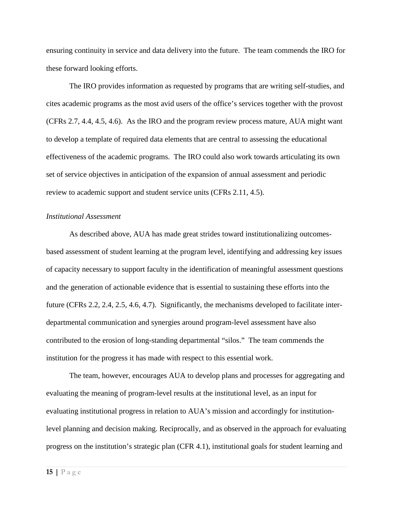ensuring continuity in service and data delivery into the future. The team commends the IRO for these forward looking efforts.

The IRO provides information as requested by programs that are writing self-studies, and cites academic programs as the most avid users of the office's services together with the provost (CFRs 2.7, 4.4, 4.5, 4.6). As the IRO and the program review process mature, AUA might want to develop a template of required data elements that are central to assessing the educational effectiveness of the academic programs. The IRO could also work towards articulating its own set of service objectives in anticipation of the expansion of annual assessment and periodic review to academic support and student service units (CFRs 2.11, 4.5).

#### *Institutional Assessment*

As described above, AUA has made great strides toward institutionalizing outcomesbased assessment of student learning at the program level, identifying and addressing key issues of capacity necessary to support faculty in the identification of meaningful assessment questions and the generation of actionable evidence that is essential to sustaining these efforts into the future (CFRs 2.2, 2.4, 2.5, 4.6, 4.7). Significantly, the mechanisms developed to facilitate interdepartmental communication and synergies around program-level assessment have also contributed to the erosion of long-standing departmental "silos." The team commends the institution for the progress it has made with respect to this essential work.

The team, however, encourages AUA to develop plans and processes for aggregating and evaluating the meaning of program-level results at the institutional level, as an input for evaluating institutional progress in relation to AUA's mission and accordingly for institutionlevel planning and decision making. Reciprocally, and as observed in the approach for evaluating progress on the institution's strategic plan (CFR 4.1), institutional goals for student learning and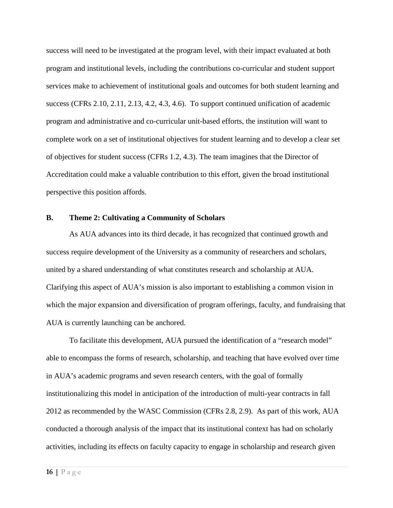success will need to be investigated at the program level, with their impact evaluated at both program and institutional levels, including the contributions co-curricular and student support services make to achievement of institutional goals and outcomes for both student learning and success (CFRs 2.10, 2.11, 2.13, 4.2, 4.3, 4.6). To support continued unification of academic program and administrative and co-curricular unit-based efforts, the institution will want to complete work on a set of institutional objectives for student learning and to develop a clear set of objectives for student success (CFRs 1.2, 4.3). The team imagines that the Director of Accreditation could make a valuable contribution to this effort, given the broad institutional perspective this position affords.

#### <span id="page-15-0"></span>**B. Theme 2: Cultivating a Community of Scholars**

As AUA advances into its third decade, it has recognized that continued growth and success require development of the University as a community of researchers and scholars, united by a shared understanding of what constitutes research and scholarship at AUA. Clarifying this aspect of AUA's mission is also important to establishing a common vision in which the major expansion and diversification of program offerings, faculty, and fundraising that AUA is currently launching can be anchored.

To facilitate this development, AUA pursued the identification of a "research model" able to encompass the forms of research, scholarship, and teaching that have evolved over time in AUA's academic programs and seven research centers, with the goal of formally institutionalizing this model in anticipation of the introduction of multi-year contracts in fall 2012 as recommended by the WASC Commission (CFRs 2.8, 2.9). As part of this work, AUA conducted a thorough analysis of the impact that its institutional context has had on scholarly activities, including its effects on faculty capacity to engage in scholarship and research given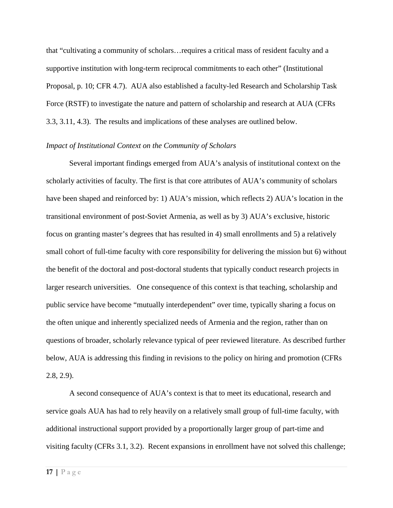that "cultivating a community of scholars…requires a critical mass of resident faculty and a supportive institution with long-term reciprocal commitments to each other" (Institutional Proposal, p. 10; CFR 4.7). AUA also established a faculty-led Research and Scholarship Task Force (RSTF) to investigate the nature and pattern of scholarship and research at AUA (CFRs 3.3, 3.11, 4.3). The results and implications of these analyses are outlined below.

### *Impact of Institutional Context on the Community of Scholars*

Several important findings emerged from AUA's analysis of institutional context on the scholarly activities of faculty. The first is that core attributes of AUA's community of scholars have been shaped and reinforced by: 1) AUA's mission, which reflects 2) AUA's location in the transitional environment of post-Soviet Armenia, as well as by 3) AUA's exclusive, historic focus on granting master's degrees that has resulted in 4) small enrollments and 5) a relatively small cohort of full-time faculty with core responsibility for delivering the mission but 6) without the benefit of the doctoral and post-doctoral students that typically conduct research projects in larger research universities. One consequence of this context is that teaching, scholarship and public service have become "mutually interdependent" over time, typically sharing a focus on the often unique and inherently specialized needs of Armenia and the region, rather than on questions of broader, scholarly relevance typical of peer reviewed literature. As described further below, AUA is addressing this finding in revisions to the policy on hiring and promotion (CFRs 2.8, 2.9).

A second consequence of AUA's context is that to meet its educational, research and service goals AUA has had to rely heavily on a relatively small group of full-time faculty, with additional instructional support provided by a proportionally larger group of part-time and visiting faculty (CFRs 3.1, 3.2). Recent expansions in enrollment have not solved this challenge;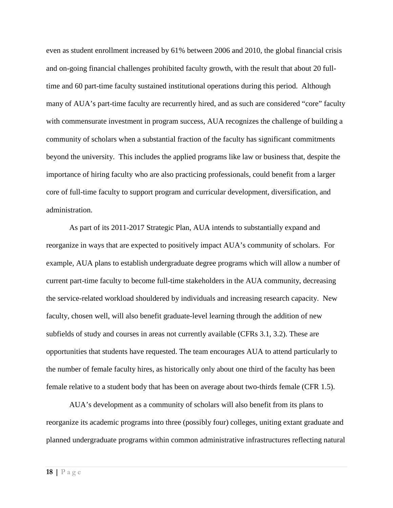even as student enrollment increased by 61% between 2006 and 2010, the global financial crisis and on-going financial challenges prohibited faculty growth, with the result that about 20 fulltime and 60 part-time faculty sustained institutional operations during this period. Although many of AUA's part-time faculty are recurrently hired, and as such are considered "core" faculty with commensurate investment in program success, AUA recognizes the challenge of building a community of scholars when a substantial fraction of the faculty has significant commitments beyond the university. This includes the applied programs like law or business that, despite the importance of hiring faculty who are also practicing professionals, could benefit from a larger core of full-time faculty to support program and curricular development, diversification, and administration.

As part of its 2011-2017 Strategic Plan, AUA intends to substantially expand and reorganize in ways that are expected to positively impact AUA's community of scholars. For example, AUA plans to establish undergraduate degree programs which will allow a number of current part-time faculty to become full-time stakeholders in the AUA community, decreasing the service-related workload shouldered by individuals and increasing research capacity. New faculty, chosen well, will also benefit graduate-level learning through the addition of new subfields of study and courses in areas not currently available (CFRs 3.1, 3.2). These are opportunities that students have requested. The team encourages AUA to attend particularly to the number of female faculty hires, as historically only about one third of the faculty has been female relative to a student body that has been on average about two-thirds female (CFR 1.5).

AUA's development as a community of scholars will also benefit from its plans to reorganize its academic programs into three (possibly four) colleges, uniting extant graduate and planned undergraduate programs within common administrative infrastructures reflecting natural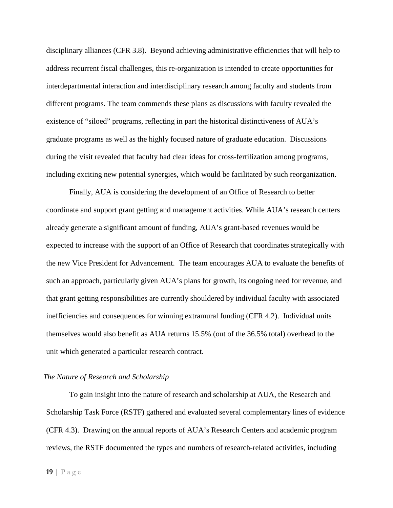disciplinary alliances (CFR 3.8). Beyond achieving administrative efficiencies that will help to address recurrent fiscal challenges, this re-organization is intended to create opportunities for interdepartmental interaction and interdisciplinary research among faculty and students from different programs. The team commends these plans as discussions with faculty revealed the existence of "siloed" programs, reflecting in part the historical distinctiveness of AUA's graduate programs as well as the highly focused nature of graduate education. Discussions during the visit revealed that faculty had clear ideas for cross-fertilization among programs, including exciting new potential synergies, which would be facilitated by such reorganization.

Finally, AUA is considering the development of an Office of Research to better coordinate and support grant getting and management activities. While AUA's research centers already generate a significant amount of funding, AUA's grant-based revenues would be expected to increase with the support of an Office of Research that coordinates strategically with the new Vice President for Advancement. The team encourages AUA to evaluate the benefits of such an approach, particularly given AUA's plans for growth, its ongoing need for revenue, and that grant getting responsibilities are currently shouldered by individual faculty with associated inefficiencies and consequences for winning extramural funding (CFR 4.2). Individual units themselves would also benefit as AUA returns 15.5% (out of the 36.5% total) overhead to the unit which generated a particular research contract.

## *The Nature of Research and Scholarship*

To gain insight into the nature of research and scholarship at AUA, the Research and Scholarship Task Force (RSTF) gathered and evaluated several complementary lines of evidence (CFR 4.3). Drawing on the annual reports of AUA's Research Centers and academic program reviews, the RSTF documented the types and numbers of research-related activities, including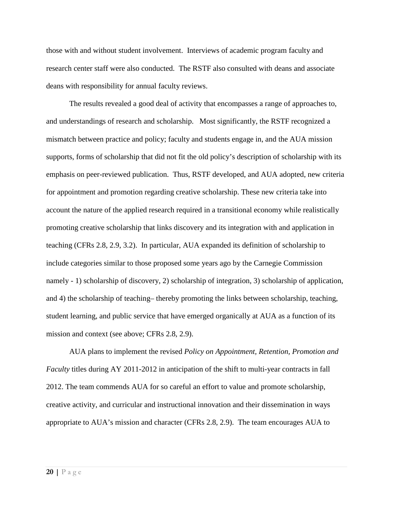those with and without student involvement. Interviews of academic program faculty and research center staff were also conducted. The RSTF also consulted with deans and associate deans with responsibility for annual faculty reviews.

The results revealed a good deal of activity that encompasses a range of approaches to, and understandings of research and scholarship. Most significantly, the RSTF recognized a mismatch between practice and policy; faculty and students engage in, and the AUA mission supports, forms of scholarship that did not fit the old policy's description of scholarship with its emphasis on peer-reviewed publication. Thus, RSTF developed, and AUA adopted, new criteria for appointment and promotion regarding creative scholarship. These new criteria take into account the nature of the applied research required in a transitional economy while realistically promoting creative scholarship that links discovery and its integration with and application in teaching (CFRs 2.8, 2.9, 3.2). In particular, AUA expanded its definition of scholarship to include categories similar to those proposed some years ago by the Carnegie Commission namely - 1) scholarship of discovery, 2) scholarship of integration, 3) scholarship of application, and 4) the scholarship of teaching– thereby promoting the links between scholarship, teaching, student learning, and public service that have emerged organically at AUA as a function of its mission and context (see above; CFRs 2.8, 2.9).

AUA plans to implement the revised *Policy on Appointment, Retention, Promotion and Faculty* titles during AY 2011-2012 in anticipation of the shift to multi-year contracts in fall 2012. The team commends AUA for so careful an effort to value and promote scholarship, creative activity, and curricular and instructional innovation and their dissemination in ways appropriate to AUA's mission and character (CFRs 2.8, 2.9). The team encourages AUA to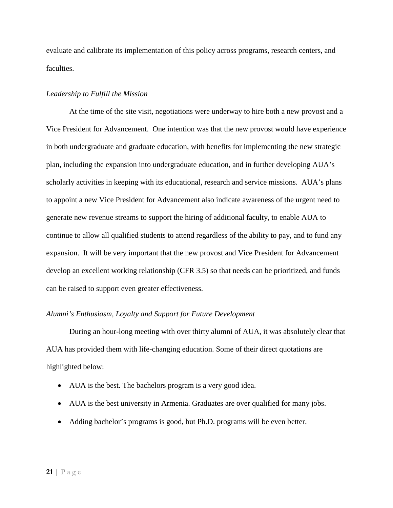evaluate and calibrate its implementation of this policy across programs, research centers, and faculties.

## *Leadership to Fulfill the Mission*

At the time of the site visit, negotiations were underway to hire both a new provost and a Vice President for Advancement. One intention was that the new provost would have experience in both undergraduate and graduate education, with benefits for implementing the new strategic plan, including the expansion into undergraduate education, and in further developing AUA's scholarly activities in keeping with its educational, research and service missions. AUA's plans to appoint a new Vice President for Advancement also indicate awareness of the urgent need to generate new revenue streams to support the hiring of additional faculty, to enable AUA to continue to allow all qualified students to attend regardless of the ability to pay, and to fund any expansion. It will be very important that the new provost and Vice President for Advancement develop an excellent working relationship (CFR 3.5) so that needs can be prioritized, and funds can be raised to support even greater effectiveness.

## *Alumni's Enthusiasm, Loyalty and Support for Future Development*

During an hour-long meeting with over thirty alumni of AUA, it was absolutely clear that AUA has provided them with life-changing education. Some of their direct quotations are highlighted below:

- AUA is the best. The bachelors program is a very good idea.
- AUA is the best university in Armenia. Graduates are over qualified for many jobs.
- Adding bachelor's programs is good, but Ph.D. programs will be even better.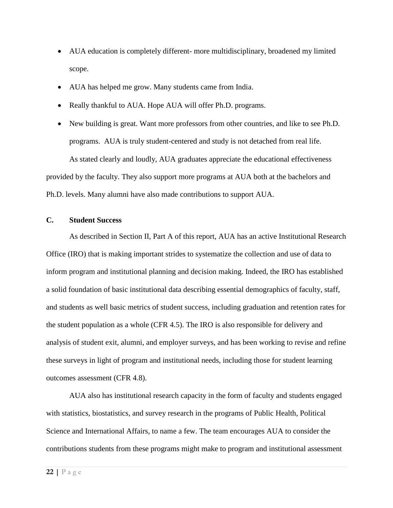- AUA education is completely different- more multidisciplinary, broadened my limited scope.
- AUA has helped me grow. Many students came from India.
- Really thankful to AUA. Hope AUA will offer Ph.D. programs.
- New building is great. Want more professors from other countries, and like to see Ph.D. programs. AUA is truly student-centered and study is not detached from real life. As stated clearly and loudly, AUA graduates appreciate the educational effectiveness provided by the faculty. They also support more programs at AUA both at the bachelors and Ph.D. levels. Many alumni have also made contributions to support AUA.

## <span id="page-21-0"></span>**C. Student Success**

As described in Section II, Part A of this report, AUA has an active Institutional Research Office (IRO) that is making important strides to systematize the collection and use of data to inform program and institutional planning and decision making. Indeed, the IRO has established a solid foundation of basic institutional data describing essential demographics of faculty, staff, and students as well basic metrics of student success, including graduation and retention rates for the student population as a whole (CFR 4.5). The IRO is also responsible for delivery and analysis of student exit, alumni, and employer surveys, and has been working to revise and refine these surveys in light of program and institutional needs, including those for student learning outcomes assessment (CFR 4.8).

AUA also has institutional research capacity in the form of faculty and students engaged with statistics, biostatistics, and survey research in the programs of Public Health, Political Science and International Affairs, to name a few. The team encourages AUA to consider the contributions students from these programs might make to program and institutional assessment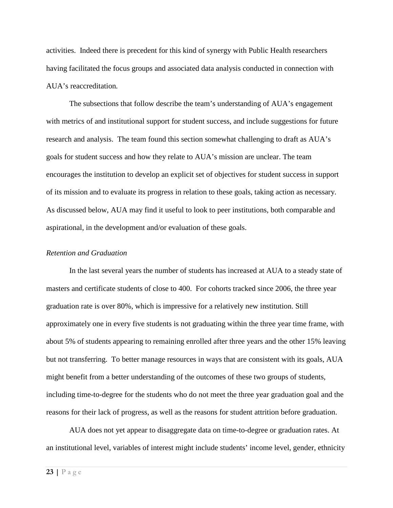activities. Indeed there is precedent for this kind of synergy with Public Health researchers having facilitated the focus groups and associated data analysis conducted in connection with AUA's reaccreditation*.* 

The subsections that follow describe the team's understanding of AUA's engagement with metrics of and institutional support for student success, and include suggestions for future research and analysis. The team found this section somewhat challenging to draft as AUA's goals for student success and how they relate to AUA's mission are unclear. The team encourages the institution to develop an explicit set of objectives for student success in support of its mission and to evaluate its progress in relation to these goals, taking action as necessary. As discussed below, AUA may find it useful to look to peer institutions, both comparable and aspirational, in the development and/or evaluation of these goals.

#### *Retention and Graduation*

In the last several years the number of students has increased at AUA to a steady state of masters and certificate students of close to 400. For cohorts tracked since 2006, the three year graduation rate is over 80%, which is impressive for a relatively new institution. Still approximately one in every five students is not graduating within the three year time frame, with about 5% of students appearing to remaining enrolled after three years and the other 15% leaving but not transferring. To better manage resources in ways that are consistent with its goals, AUA might benefit from a better understanding of the outcomes of these two groups of students, including time-to-degree for the students who do not meet the three year graduation goal and the reasons for their lack of progress, as well as the reasons for student attrition before graduation.

AUA does not yet appear to disaggregate data on time-to-degree or graduation rates. At an institutional level, variables of interest might include students' income level, gender, ethnicity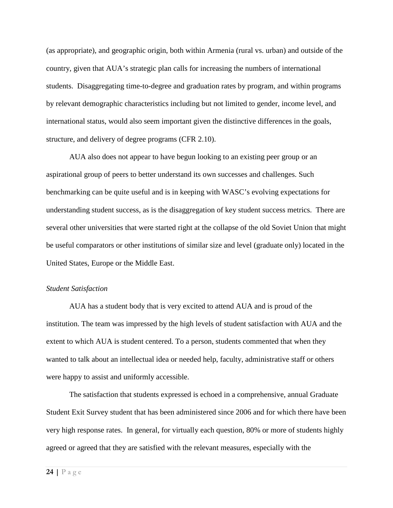(as appropriate), and geographic origin, both within Armenia (rural vs. urban) and outside of the country, given that AUA's strategic plan calls for increasing the numbers of international students. Disaggregating time-to-degree and graduation rates by program, and within programs by relevant demographic characteristics including but not limited to gender, income level, and international status, would also seem important given the distinctive differences in the goals, structure, and delivery of degree programs (CFR 2.10).

AUA also does not appear to have begun looking to an existing peer group or an aspirational group of peers to better understand its own successes and challenges. Such benchmarking can be quite useful and is in keeping with WASC's evolving expectations for understanding student success, as is the disaggregation of key student success metrics. There are several other universities that were started right at the collapse of the old Soviet Union that might be useful comparators or other institutions of similar size and level (graduate only) located in the United States, Europe or the Middle East.

## *Student Satisfaction*

AUA has a student body that is very excited to attend AUA and is proud of the institution. The team was impressed by the high levels of student satisfaction with AUA and the extent to which AUA is student centered. To a person, students commented that when they wanted to talk about an intellectual idea or needed help, faculty, administrative staff or others were happy to assist and uniformly accessible.

The satisfaction that students expressed is echoed in a comprehensive, annual Graduate Student Exit Survey student that has been administered since 2006 and for which there have been very high response rates. In general, for virtually each question, 80% or more of students highly agreed or agreed that they are satisfied with the relevant measures, especially with the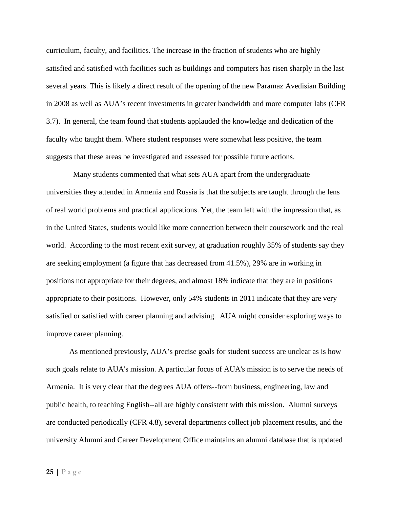curriculum, faculty, and facilities. The increase in the fraction of students who are highly satisfied and satisfied with facilities such as buildings and computers has risen sharply in the last several years. This is likely a direct result of the opening of the new Paramaz Avedisian Building in 2008 as well as AUA's recent investments in greater bandwidth and more computer labs (CFR 3.7). In general, the team found that students applauded the knowledge and dedication of the faculty who taught them. Where student responses were somewhat less positive, the team suggests that these areas be investigated and assessed for possible future actions.

Many students commented that what sets AUA apart from the undergraduate universities they attended in Armenia and Russia is that the subjects are taught through the lens of real world problems and practical applications. Yet, the team left with the impression that, as in the United States, students would like more connection between their coursework and the real world. According to the most recent exit survey, at graduation roughly 35% of students say they are seeking employment (a figure that has decreased from 41.5%), 29% are in working in positions not appropriate for their degrees, and almost 18% indicate that they are in positions appropriate to their positions. However, only 54% students in 2011 indicate that they are very satisfied or satisfied with career planning and advising. AUA might consider exploring ways to improve career planning.

As mentioned previously, AUA's precise goals for student success are unclear as is how such goals relate to AUA's mission. A particular focus of AUA's mission is to serve the needs of Armenia. It is very clear that the degrees AUA offers--from business, engineering, law and public health, to teaching English--all are highly consistent with this mission. Alumni surveys are conducted periodically (CFR 4.8), several departments collect job placement results, and the university Alumni and Career Development Office maintains an alumni database that is updated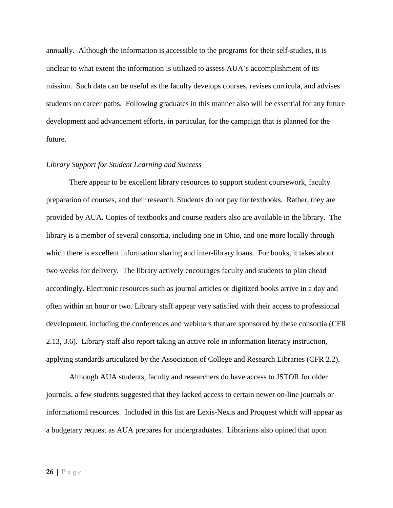annually. Although the information is accessible to the programs for their self-studies, it is unclear to what extent the information is utilized to assess AUA's accomplishment of its mission. Such data can be useful as the faculty develops courses, revises curricula, and advises students on career paths. Following graduates in this manner also will be essential for any future development and advancement efforts, in particular, for the campaign that is planned for the future.

#### *Library Support for Student Learning and Success*

There appear to be excellent library resources to support student coursework, faculty preparation of courses, and their research. Students do not pay for textbooks. Rather, they are provided by AUA. Copies of textbooks and course readers also are available in the library. The library is a member of several consortia, including one in Ohio, and one more locally through which there is excellent information sharing and inter-library loans. For books, it takes about two weeks for delivery. The library actively encourages faculty and students to plan ahead accordingly. Electronic resources such as journal articles or digitized books arrive in a day and often within an hour or two. Library staff appear very satisfied with their access to professional development, including the conferences and webinars that are sponsored by these consortia (CFR 2.13, 3.6). Library staff also report taking an active role in information literacy instruction, applying standards articulated by the Association of College and Research Libraries (CFR 2.2).

Although AUA students, faculty and researchers do have access to JSTOR for older journals, a few students suggested that they lacked access to certain newer on-line journals or informational resources. Included in this list are Lexis-Nexis and Proquest which will appear as a budgetary request as AUA prepares for undergraduates. Librarians also opined that upon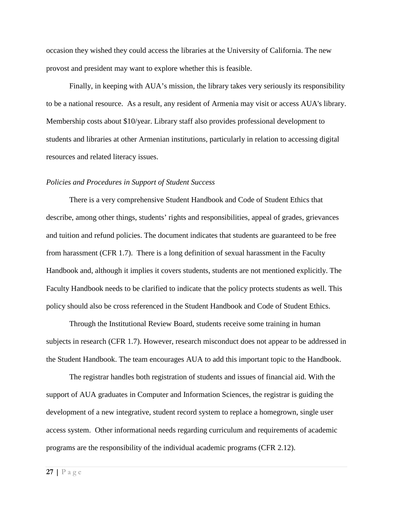occasion they wished they could access the libraries at the University of California. The new provost and president may want to explore whether this is feasible.

Finally, in keeping with AUA's mission, the library takes very seriously its responsibility to be a national resource. As a result, any resident of Armenia may visit or access AUA's library. Membership costs about \$10/year. Library staff also provides professional development to students and libraries at other Armenian institutions, particularly in relation to accessing digital resources and related literacy issues.

#### *Policies and Procedures in Support of Student Success*

There is a very comprehensive Student Handbook and Code of Student Ethics that describe, among other things, students' rights and responsibilities, appeal of grades, grievances and tuition and refund policies. The document indicates that students are guaranteed to be free from harassment (CFR 1.7). There is a long definition of sexual harassment in the Faculty Handbook and, although it implies it covers students, students are not mentioned explicitly. The Faculty Handbook needs to be clarified to indicate that the policy protects students as well. This policy should also be cross referenced in the Student Handbook and Code of Student Ethics.

Through the Institutional Review Board, students receive some training in human subjects in research (CFR 1.7). However, research misconduct does not appear to be addressed in the Student Handbook. The team encourages AUA to add this important topic to the Handbook.

The registrar handles both registration of students and issues of financial aid. With the support of AUA graduates in Computer and Information Sciences, the registrar is guiding the development of a new integrative, student record system to replace a homegrown, single user access system. Other informational needs regarding curriculum and requirements of academic programs are the responsibility of the individual academic programs (CFR 2.12).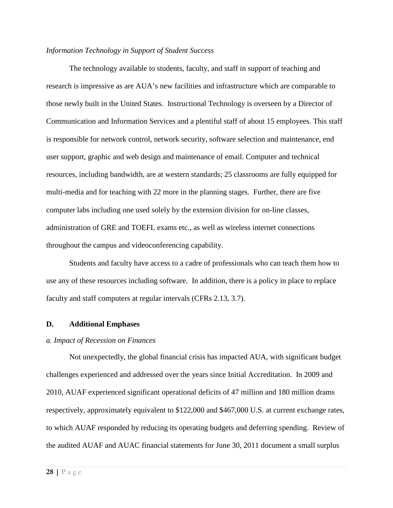## *Information Technology in Support of Student Success*

The technology available to students, faculty, and staff in support of teaching and research is impressive as are AUA's new facilities and infrastructure which are comparable to those newly built in the United States. Instructional Technology is overseen by a Director of Communication and Information Services and a plentiful staff of about 15 employees. This staff is responsible for network control, network security, software selection and maintenance, end user support, graphic and web design and maintenance of email. Computer and technical resources, including bandwidth, are at western standards; 25 classrooms are fully equipped for multi-media and for teaching with 22 more in the planning stages. Further, there are five computer labs including one used solely by the extension division for on-line classes, administration of GRE and TOEFL exams etc., as well as wireless internet connections throughout the campus and videoconferencing capability.

Students and faculty have access to a cadre of professionals who can teach them how to use any of these resources including software. In addition, there is a policy in place to replace faculty and staff computers at regular intervals (CFRs 2.13, 3.7).

#### <span id="page-27-1"></span><span id="page-27-0"></span>**D. Additional Emphases**

#### *a. Impact of Recession on Finances*

Not unexpectedly, the global financial crisis has impacted AUA, with significant budget challenges experienced and addressed over the years since Initial Accreditation. In 2009 and 2010, AUAF experienced significant operational deficits of 47 million and 180 million drams respectively, approximately equivalent to \$122,000 and \$467,000 U.S. at current exchange rates, to which AUAF responded by reducing its operating budgets and deferring spending. Review of the audited AUAF and AUAC financial statements for June 30, 2011 document a small surplus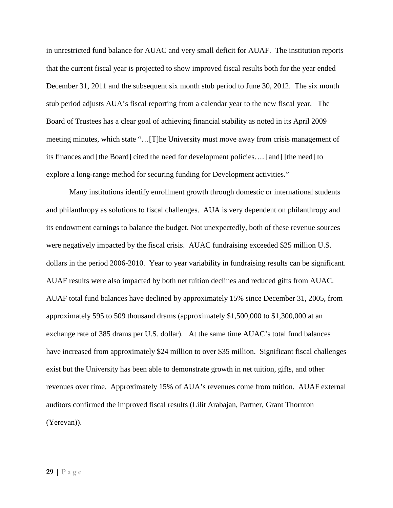in unrestricted fund balance for AUAC and very small deficit for AUAF. The institution reports that the current fiscal year is projected to show improved fiscal results both for the year ended December 31, 2011 and the subsequent six month stub period to June 30, 2012. The six month stub period adjusts AUA's fiscal reporting from a calendar year to the new fiscal year. The Board of Trustees has a clear goal of achieving financial stability as noted in its April 2009 meeting minutes, which state "…[T]he University must move away from crisis management of its finances and [the Board] cited the need for development policies…. [and] [the need] to explore a long-range method for securing funding for Development activities."

Many institutions identify enrollment growth through domestic or international students and philanthropy as solutions to fiscal challenges. AUA is very dependent on philanthropy and its endowment earnings to balance the budget. Not unexpectedly, both of these revenue sources were negatively impacted by the fiscal crisis. AUAC fundraising exceeded \$25 million U.S. dollars in the period 2006-2010. Year to year variability in fundraising results can be significant. AUAF results were also impacted by both net tuition declines and reduced gifts from AUAC. AUAF total fund balances have declined by approximately 15% since December 31, 2005, from approximately 595 to 509 thousand drams (approximately \$1,500,000 to \$1,300,000 at an exchange rate of 385 drams per U.S. dollar). At the same time AUAC's total fund balances have increased from approximately \$24 million to over \$35 million. Significant fiscal challenges exist but the University has been able to demonstrate growth in net tuition, gifts, and other revenues over time. Approximately 15% of AUA's revenues come from tuition. AUAF external auditors confirmed the improved fiscal results (Lilit Arabajan, Partner, Grant Thornton (Yerevan)).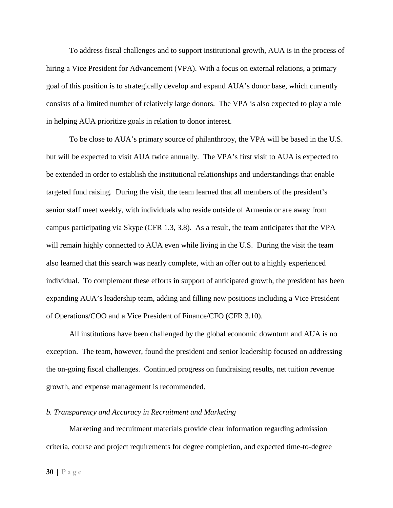To address fiscal challenges and to support institutional growth, AUA is in the process of hiring a Vice President for Advancement (VPA). With a focus on external relations, a primary goal of this position is to strategically develop and expand AUA's donor base, which currently consists of a limited number of relatively large donors. The VPA is also expected to play a role in helping AUA prioritize goals in relation to donor interest.

To be close to AUA's primary source of philanthropy, the VPA will be based in the U.S. but will be expected to visit AUA twice annually. The VPA's first visit to AUA is expected to be extended in order to establish the institutional relationships and understandings that enable targeted fund raising. During the visit, the team learned that all members of the president's senior staff meet weekly, with individuals who reside outside of Armenia or are away from campus participating via Skype (CFR 1.3, 3.8). As a result, the team anticipates that the VPA will remain highly connected to AUA even while living in the U.S. During the visit the team also learned that this search was nearly complete, with an offer out to a highly experienced individual. To complement these efforts in support of anticipated growth, the president has been expanding AUA's leadership team, adding and filling new positions including a Vice President of Operations/COO and a Vice President of Finance/CFO (CFR 3.10).

All institutions have been challenged by the global economic downturn and AUA is no exception. The team, however, found the president and senior leadership focused on addressing the on-going fiscal challenges. Continued progress on fundraising results, net tuition revenue growth, and expense management is recommended.

### <span id="page-29-0"></span>*b. Transparency and Accuracy in Recruitment and Marketing*

Marketing and recruitment materials provide clear information regarding admission criteria, course and project requirements for degree completion, and expected time-to-degree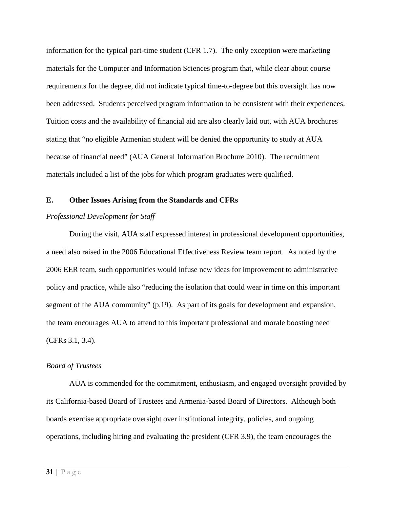information for the typical part-time student (CFR 1.7). The only exception were marketing materials for the Computer and Information Sciences program that, while clear about course requirements for the degree, did not indicate typical time-to-degree but this oversight has now been addressed. Students perceived program information to be consistent with their experiences. Tuition costs and the availability of financial aid are also clearly laid out, with AUA brochures stating that "no eligible Armenian student will be denied the opportunity to study at AUA because of financial need" (AUA General Information Brochure 2010). The recruitment materials included a list of the jobs for which program graduates were qualified.

## **E. Other Issues Arising from the Standards and CFRs**

## *Professional Development for Staff*

During the visit, AUA staff expressed interest in professional development opportunities, a need also raised in the 2006 Educational Effectiveness Review team report. As noted by the 2006 EER team, such opportunities would infuse new ideas for improvement to administrative policy and practice, while also "reducing the isolation that could wear in time on this important segment of the AUA community" (p.19). As part of its goals for development and expansion, the team encourages AUA to attend to this important professional and morale boosting need (CFRs 3.1, 3.4).

#### *Board of Trustees*

AUA is commended for the commitment, enthusiasm, and engaged oversight provided by its California-based Board of Trustees and Armenia-based Board of Directors. Although both boards exercise appropriate oversight over institutional integrity, policies, and ongoing operations, including hiring and evaluating the president (CFR 3.9), the team encourages the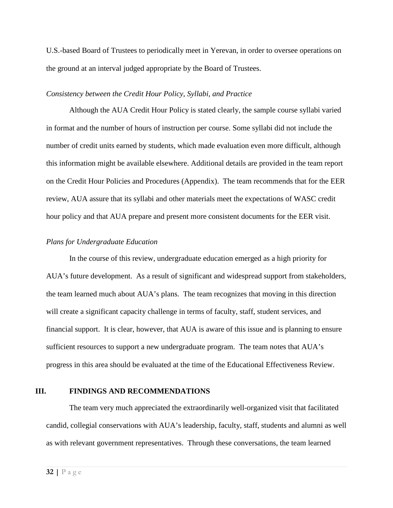U.S.-based Board of Trustees to periodically meet in Yerevan, in order to oversee operations on the ground at an interval judged appropriate by the Board of Trustees.

#### *Consistency between the Credit Hour Policy, Syllabi, and Practice*

Although the AUA Credit Hour Policy is stated clearly, the sample course syllabi varied in format and the number of hours of instruction per course. Some syllabi did not include the number of credit units earned by students, which made evaluation even more difficult, although this information might be available elsewhere. Additional details are provided in the team report on the Credit Hour Policies and Procedures (Appendix). The team recommends that for the EER review, AUA assure that its syllabi and other materials meet the expectations of WASC credit hour policy and that AUA prepare and present more consistent documents for the EER visit.

#### *Plans for Undergraduate Education*

In the course of this review, undergraduate education emerged as a high priority for AUA's future development. As a result of significant and widespread support from stakeholders, the team learned much about AUA's plans. The team recognizes that moving in this direction will create a significant capacity challenge in terms of faculty, staff, student services, and financial support. It is clear, however, that AUA is aware of this issue and is planning to ensure sufficient resources to support a new undergraduate program. The team notes that AUA's progress in this area should be evaluated at the time of the Educational Effectiveness Review.

## <span id="page-31-0"></span>**III. FINDINGS AND RECOMMENDATIONS**

The team very much appreciated the extraordinarily well-organized visit that facilitated candid, collegial conservations with AUA's leadership, faculty, staff, students and alumni as well as with relevant government representatives. Through these conversations, the team learned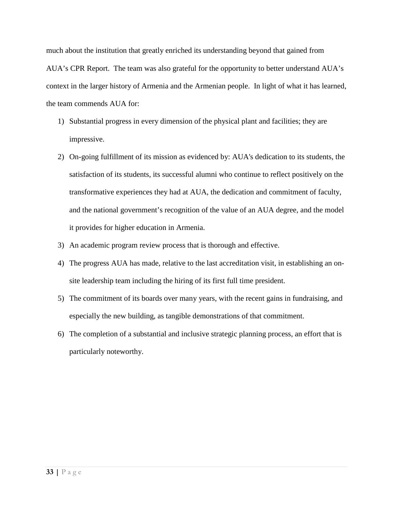much about the institution that greatly enriched its understanding beyond that gained from AUA's CPR Report. The team was also grateful for the opportunity to better understand AUA's context in the larger history of Armenia and the Armenian people. In light of what it has learned, the team commends AUA for:

- 1) Substantial progress in every dimension of the physical plant and facilities; they are impressive.
- 2) On-going fulfillment of its mission as evidenced by: AUA's dedication to its students, the satisfaction of its students, its successful alumni who continue to reflect positively on the transformative experiences they had at AUA, the dedication and commitment of faculty, and the national government's recognition of the value of an AUA degree, and the model it provides for higher education in Armenia.
- 3) An academic program review process that is thorough and effective.
- 4) The progress AUA has made, relative to the last accreditation visit, in establishing an onsite leadership team including the hiring of its first full time president.
- 5) The commitment of its boards over many years, with the recent gains in fundraising, and especially the new building, as tangible demonstrations of that commitment.
- 6) The completion of a substantial and inclusive strategic planning process, an effort that is particularly noteworthy.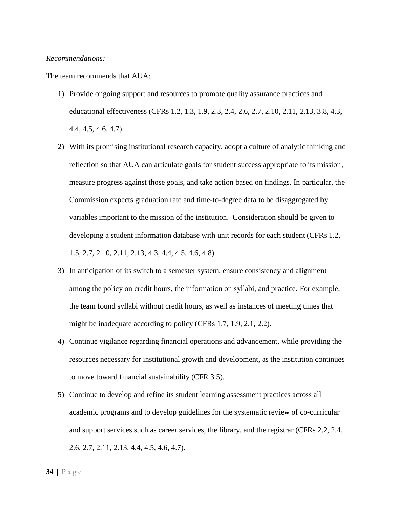#### *Recommendations:*

The team recommends that AUA:

- 1) Provide ongoing support and resources to promote quality assurance practices and educational effectiveness (CFRs 1.2, 1.3, 1.9, 2.3, 2.4, 2.6, 2.7, 2.10, 2.11, 2.13, 3.8, 4.3, 4.4, 4.5, 4.6, 4.7).
- 2) With its promising institutional research capacity, adopt a culture of analytic thinking and reflection so that AUA can articulate goals for student success appropriate to its mission, measure progress against those goals, and take action based on findings. In particular, the Commission expects graduation rate and time-to-degree data to be disaggregated by variables important to the mission of the institution. Consideration should be given to developing a student information database with unit records for each student (CFRs 1.2, 1.5, 2.7, 2.10, 2.11, 2.13, 4.3, 4.4, 4.5, 4.6, 4.8).
- 3) In anticipation of its switch to a semester system, ensure consistency and alignment among the policy on credit hours, the information on syllabi, and practice. For example, the team found syllabi without credit hours, as well as instances of meeting times that might be inadequate according to policy (CFRs 1.7, 1.9, 2.1, 2.2).
- 4) Continue vigilance regarding financial operations and advancement, while providing the resources necessary for institutional growth and development, as the institution continues to move toward financial sustainability (CFR 3.5).
- 5) Continue to develop and refine its student learning assessment practices across all academic programs and to develop guidelines for the systematic review of co-curricular and support services such as career services, the library, and the registrar (CFRs 2.2, 2.4, 2.6, 2.7, 2.11, 2.13, 4.4, 4.5, 4.6, 4.7).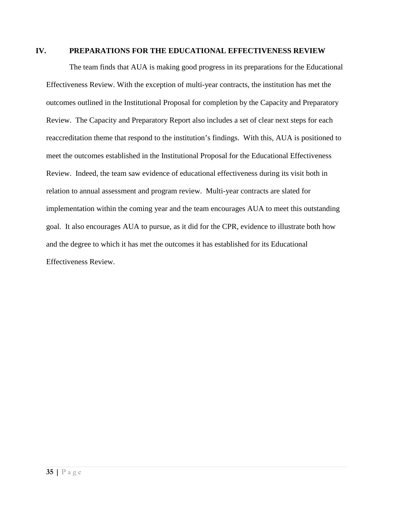## <span id="page-34-0"></span>**IV. PREPARATIONS FOR THE EDUCATIONAL EFFECTIVENESS REVIEW**

The team finds that AUA is making good progress in its preparations for the Educational Effectiveness Review. With the exception of multi-year contracts, the institution has met the outcomes outlined in the Institutional Proposal for completion by the Capacity and Preparatory Review. The Capacity and Preparatory Report also includes a set of clear next steps for each reaccreditation theme that respond to the institution's findings. With this, AUA is positioned to meet the outcomes established in the Institutional Proposal for the Educational Effectiveness Review. Indeed, the team saw evidence of educational effectiveness during its visit both in relation to annual assessment and program review. Multi-year contracts are slated for implementation within the coming year and the team encourages AUA to meet this outstanding goal. It also encourages AUA to pursue, as it did for the CPR, evidence to illustrate both how and the degree to which it has met the outcomes it has established for its Educational Effectiveness Review.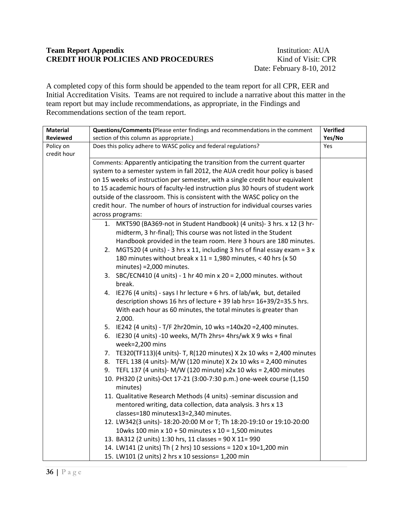## **Team Report Appendix** Institution: AUA **CREDIT HOUR POLICIES AND PROCEDURES** Kind of Visit: CPR

Date: February 8-10, 2012

A completed copy of this form should be appended to the team report for all CPR, EER and Initial Accreditation Visits. Teams are not required to include a narrative about this matter in the team report but may include recommendations, as appropriate, in the Findings and Recommendations section of the team report.

| <b>Material</b> | Questions/Comments (Please enter findings and recommendations in the comment  | Verified |
|-----------------|-------------------------------------------------------------------------------|----------|
| <b>Reviewed</b> | section of this column as appropriate.)                                       | Yes/No   |
| Policy on       | Does this policy adhere to WASC policy and federal regulations?               | Yes      |
| credit hour     |                                                                               |          |
|                 | Comments: Apparently anticipating the transition from the current quarter     |          |
|                 | system to a semester system in fall 2012, the AUA credit hour policy is based |          |
|                 | on 15 weeks of instruction per semester, with a single credit hour equivalent |          |
|                 | to 15 academic hours of faculty-led instruction plus 30 hours of student work |          |
|                 | outside of the classroom. This is consistent with the WASC policy on the      |          |
|                 | credit hour. The number of hours of instruction for individual courses varies |          |
|                 | across programs:                                                              |          |
|                 | 1. MKT590 (BA369-not in Student Handbook) (4 units)- 3 hrs. x 12 (3 hr-       |          |
|                 | midterm, 3 hr-final); This course was not listed in the Student               |          |
|                 | Handbook provided in the team room. Here 3 hours are 180 minutes.             |          |
|                 | 2. MGT520 (4 units) - 3 hrs x 11, including 3 hrs of final essay exam = $3x$  |          |
|                 | 180 minutes without break x 11 = 1,980 minutes, < 40 hrs (x 50                |          |
|                 | minutes) = 2,000 minutes.                                                     |          |
|                 | 3. SBC/ECN410 (4 units) - 1 hr 40 min x 20 = 2,000 minutes. without           |          |
|                 | break.                                                                        |          |
|                 | 4. IE276 (4 units) - says I hr lecture + 6 hrs. of lab/wk, but, detailed      |          |
|                 | description shows 16 hrs of lecture + 39 lab hrs= 16+39/2=35.5 hrs.           |          |
|                 | With each hour as 60 minutes, the total minutes is greater than               |          |
|                 | 2,000.                                                                        |          |
|                 | 5. IE242 (4 units) - T/F 2hr20min, 10 wks =140x20 =2,400 minutes.             |          |
|                 | 6. IE230 (4 units) -10 weeks, M/Th 2hrs= 4hrs/wk X 9 wks + final              |          |
|                 | week=2,200 mins                                                               |          |
|                 | 7. TE320(TF113)(4 units)- T, R(120 minutes) X 2x 10 wks = 2,400 minutes       |          |
|                 | 8. TEFL 138 (4 units)- M/W (120 minute) X 2x 10 wks = 2,400 minutes           |          |
|                 | 9. TEFL 137 (4 units)- M/W (120 minute) x2x 10 wks = 2,400 minutes            |          |
|                 | 10. PH320 (2 units)-Oct 17-21 (3:00-7:30 p.m.) one-week course (1,150         |          |
|                 | minutes)                                                                      |          |
|                 | 11. Qualitative Research Methods (4 units) -seminar discussion and            |          |
|                 | mentored writing, data collection, data analysis. 3 hrs x 13                  |          |
|                 | classes=180 minutesx13=2,340 minutes.                                         |          |
|                 | 12. LW342(3 units)- 18:20-20:00 M or T; Th 18:20-19:10 or 19:10-20:00         |          |
|                 | 10wks 100 min x 10 + 50 minutes x 10 = 1,500 minutes                          |          |
|                 | 13. BA312 (2 units) 1:30 hrs, 11 classes = 90 X 11= 990                       |          |
|                 | 14. LW141 (2 units) Th (2 hrs) 10 sessions = 120 x 10=1,200 min               |          |
|                 | 15. LW101 (2 units) 2 hrs x 10 sessions= 1,200 min                            |          |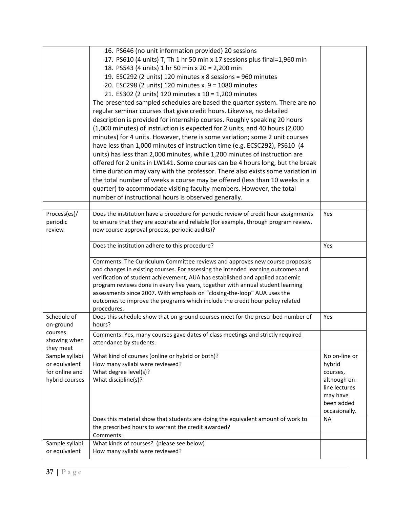|                | 16. PS646 (no unit information provided) 20 sessions                                            |               |
|----------------|-------------------------------------------------------------------------------------------------|---------------|
|                | 17. PS610 (4 units) T, Th 1 hr 50 min x 17 sessions plus final=1,960 min                        |               |
|                | 18. PS543 (4 units) 1 hr 50 min x 20 = 2,200 min                                                |               |
|                | 19. ESC292 (2 units) 120 minutes x 8 sessions = 960 minutes                                     |               |
|                | 20. ESC298 (2 units) 120 minutes x 9 = 1080 minutes                                             |               |
|                | 21. ES302 (2 units) 120 minutes x 10 = 1,200 minutes                                            |               |
|                |                                                                                                 |               |
|                | The presented sampled schedules are based the quarter system. There are no                      |               |
|                | regular seminar courses that give credit hours. Likewise, no detailed                           |               |
|                | description is provided for internship courses. Roughly speaking 20 hours                       |               |
|                | (1,000 minutes) of instruction is expected for 2 units, and 40 hours (2,000                     |               |
|                | minutes) for 4 units. However, there is some variation; some 2 unit courses                     |               |
|                | have less than 1,000 minutes of instruction time (e.g. ECSC292), PS610 (4                       |               |
|                | units) has less than 2,000 minutes, while 1,200 minutes of instruction are                      |               |
|                | offered for 2 units in LW141. Some courses can be 4 hours long, but the break                   |               |
|                | time duration may vary with the professor. There also exists some variation in                  |               |
|                | the total number of weeks a course may be offered (less than 10 weeks in a                      |               |
|                | quarter) to accommodate visiting faculty members. However, the total                            |               |
|                | number of instructional hours is observed generally.                                            |               |
|                |                                                                                                 |               |
| Process(es)/   | Does the institution have a procedure for periodic review of credit hour assignments            | Yes           |
| periodic       | to ensure that they are accurate and reliable (for example, through program review,             |               |
| review         | new course approval process, periodic audits)?                                                  |               |
|                |                                                                                                 |               |
|                | Does the institution adhere to this procedure?                                                  | Yes           |
|                |                                                                                                 |               |
|                | Comments: The Curriculum Committee reviews and approves new course proposals                    |               |
|                | and changes in existing courses. For assessing the intended learning outcomes and               |               |
|                | verification of student achievement, AUA has established and applied academic                   |               |
|                | program reviews done in every five years, together with annual student learning                 |               |
|                | assessments since 2007. With emphasis on "closing-the-loop" AUA uses the                        |               |
|                | outcomes to improve the programs which include the credit hour policy related                   |               |
| Schedule of    | procedures.<br>Does this schedule show that on-ground courses meet for the prescribed number of | Yes           |
| on-ground      | hours?                                                                                          |               |
| courses        |                                                                                                 |               |
| showing when   | Comments: Yes, many courses gave dates of class meetings and strictly required                  |               |
| they meet      | attendance by students.                                                                         |               |
| Sample syllabi | What kind of courses (online or hybrid or both)?                                                | No on-line or |
| or equivalent  | How many syllabi were reviewed?                                                                 | hybrid        |
| for online and | What degree level(s)?                                                                           | courses,      |
| hybrid courses | What discipline(s)?                                                                             | although on-  |
|                |                                                                                                 | line lectures |
|                |                                                                                                 | may have      |
|                |                                                                                                 | been added    |
|                |                                                                                                 | occasionally. |
|                | Does this material show that students are doing the equivalent amount of work to                | <b>NA</b>     |
|                | the prescribed hours to warrant the credit awarded?                                             |               |
|                | Comments:                                                                                       |               |
| Sample syllabi | What kinds of courses? (please see below)                                                       |               |
| or equivalent  | How many syllabi were reviewed?                                                                 |               |